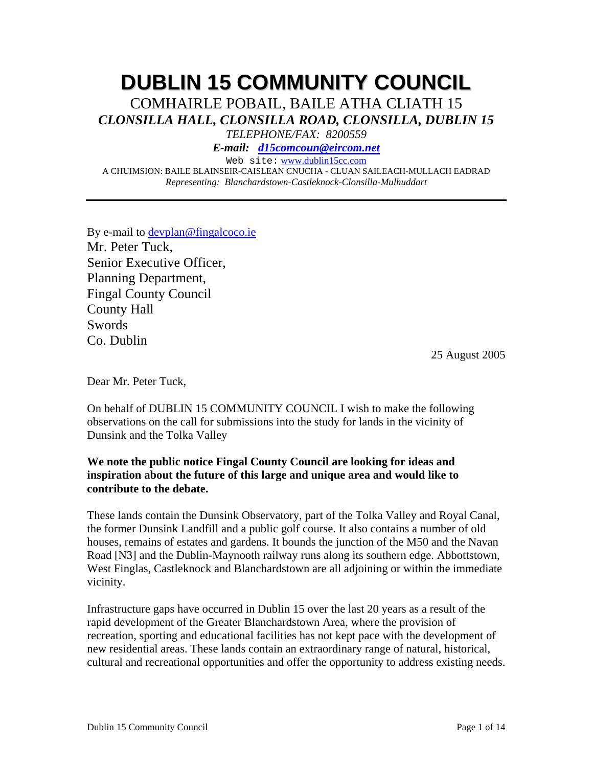# **DUBLIN 15 COMMUNITY COUNCIL**

COMHAIRLE POBAIL, BAILE ATHA CLIATH 15 *CLONSILLA HALL, CLONSILLA ROAD, CLONSILLA, DUBLIN 15* 

*TELEPHONE/FAX: 8200559* 

*E-mail: d15comcoun@eircom.net*

Web site: www.dublin15cc.com

A CHUIMSION: BAILE BLAINSEIR-CAISLEAN CNUCHA - CLUAN SAILEACH-MULLACH EADRAD *Representing: Blanchardstown-Castleknock-Clonsilla-Mulhuddart* 

By e-mail to devplan@fingalcoco.ie Mr. Peter Tuck, Senior Executive Officer, Planning Department, Fingal County Council County Hall Swords Co. Dublin

25 August 2005

Dear Mr. Peter Tuck,

On behalf of DUBLIN 15 COMMUNITY COUNCIL I wish to make the following observations on the call for submissions into the study for lands in the vicinity of Dunsink and the Tolka Valley

## **We note the public notice Fingal County Council are looking for ideas and inspiration about the future of this large and unique area and would like to contribute to the debate.**

These lands contain the Dunsink Observatory, part of the Tolka Valley and Royal Canal, the former Dunsink Landfill and a public golf course. It also contains a number of old houses, remains of estates and gardens. It bounds the junction of the M50 and the Navan Road [N3] and the Dublin-Maynooth railway runs along its southern edge. Abbottstown, West Finglas, Castleknock and Blanchardstown are all adjoining or within the immediate vicinity.

Infrastructure gaps have occurred in Dublin 15 over the last 20 years as a result of the rapid development of the Greater Blanchardstown Area, where the provision of recreation, sporting and educational facilities has not kept pace with the development of new residential areas. These lands contain an extraordinary range of natural, historical, cultural and recreational opportunities and offer the opportunity to address existing needs.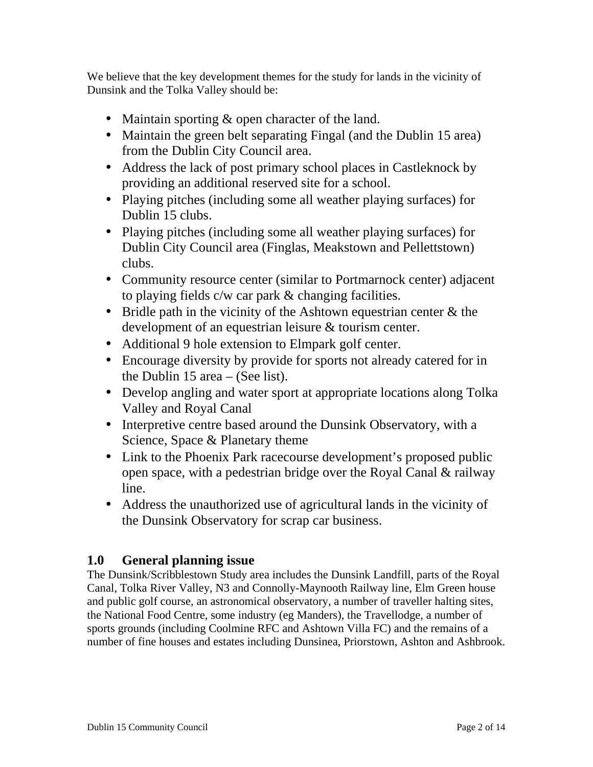We believe that the key development themes for the study for lands in the vicinity of Dunsink and the Tolka Valley should be:

- Maintain sporting & open character of the land.
- Maintain the green belt separating Fingal (and the Dublin 15 area) from the Dublin City Council area.
- Address the lack of post primary school places in Castleknock by providing an additional reserved site for a school.
- Playing pitches (including some all weather playing surfaces) for Dublin 15 clubs.
- Playing pitches (including some all weather playing surfaces) for Dublin City Council area (Finglas, Meakstown and Pellettstown) clubs.
- Community resource center (similar to Portmarnock center) adjacent to playing fields c/w car park & changing facilities.
- Bridle path in the vicinity of the Ashtown equestrian center & the development of an equestrian leisure & tourism center.
- Additional 9 hole extension to Elmpark golf center.
- Encourage diversity by provide for sports not already catered for in the Dublin 15 area – (See list).
- Develop angling and water sport at appropriate locations along Tolka Valley and Royal Canal
- Interpretive centre based around the Dunsink Observatory, with a Science, Space & Planetary theme
- Link to the Phoenix Park racecourse development's proposed public open space, with a pedestrian bridge over the Royal Canal & railway line.
- Address the unauthorized use of agricultural lands in the vicinity of the Dunsink Observatory for scrap car business.

# **1.0 General planning issue**

The Dunsink/Scribblestown Study area includes the Dunsink Landfill, parts of the Royal Canal, Tolka River Valley, N3 and Connolly-Maynooth Railway line, Elm Green house and public golf course, an astronomical observatory, a number of traveller halting sites, the National Food Centre, some industry (eg Manders), the Travellodge, a number of sports grounds (including Coolmine RFC and Ashtown Villa FC) and the remains of a number of fine houses and estates including Dunsinea, Priorstown, Ashton and Ashbrook.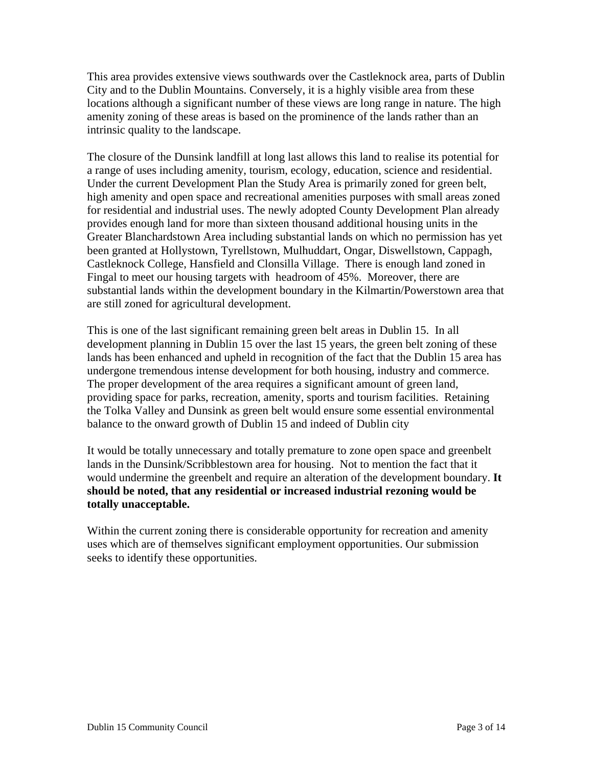This area provides extensive views southwards over the Castleknock area, parts of Dublin City and to the Dublin Mountains. Conversely, it is a highly visible area from these locations although a significant number of these views are long range in nature. The high amenity zoning of these areas is based on the prominence of the lands rather than an intrinsic quality to the landscape.

The closure of the Dunsink landfill at long last allows this land to realise its potential for a range of uses including amenity, tourism, ecology, education, science and residential. Under the current Development Plan the Study Area is primarily zoned for green belt, high amenity and open space and recreational amenities purposes with small areas zoned for residential and industrial uses. The newly adopted County Development Plan already provides enough land for more than sixteen thousand additional housing units in the Greater Blanchardstown Area including substantial lands on which no permission has yet been granted at Hollystown, Tyrellstown, Mulhuddart, Ongar, Diswellstown, Cappagh, Castleknock College, Hansfield and Clonsilla Village. There is enough land zoned in Fingal to meet our housing targets with headroom of 45%. Moreover, there are substantial lands within the development boundary in the Kilmartin/Powerstown area that are still zoned for agricultural development.

This is one of the last significant remaining green belt areas in Dublin 15. In all development planning in Dublin 15 over the last 15 years, the green belt zoning of these lands has been enhanced and upheld in recognition of the fact that the Dublin 15 area has undergone tremendous intense development for both housing, industry and commerce. The proper development of the area requires a significant amount of green land, providing space for parks, recreation, amenity, sports and tourism facilities. Retaining the Tolka Valley and Dunsink as green belt would ensure some essential environmental balance to the onward growth of Dublin 15 and indeed of Dublin city

It would be totally unnecessary and totally premature to zone open space and greenbelt lands in the Dunsink/Scribblestown area for housing. Not to mention the fact that it would undermine the greenbelt and require an alteration of the development boundary. **It should be noted, that any residential or increased industrial rezoning would be totally unacceptable.** 

Within the current zoning there is considerable opportunity for recreation and amenity uses which are of themselves significant employment opportunities. Our submission seeks to identify these opportunities.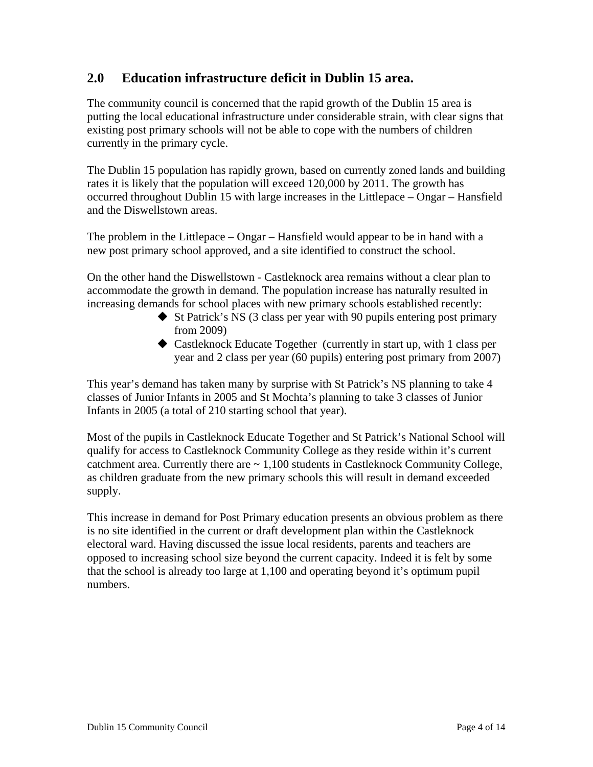# **2.0 Education infrastructure deficit in Dublin 15 area.**

The community council is concerned that the rapid growth of the Dublin 15 area is putting the local educational infrastructure under considerable strain, with clear signs that existing post primary schools will not be able to cope with the numbers of children currently in the primary cycle.

The Dublin 15 population has rapidly grown, based on currently zoned lands and building rates it is likely that the population will exceed 120,000 by 2011. The growth has occurred throughout Dublin 15 with large increases in the Littlepace – Ongar – Hansfield and the Diswellstown areas.

The problem in the Littlepace – Ongar – Hansfield would appear to be in hand with a new post primary school approved, and a site identified to construct the school.

On the other hand the Diswellstown - Castleknock area remains without a clear plan to accommodate the growth in demand. The population increase has naturally resulted in increasing demands for school places with new primary schools established recently:

- $\blacklozenge$  St Patrick's NS (3 class per year with 90 pupils entering post primary from 2009)
- Castleknock Educate Together (currently in start up, with 1 class per year and 2 class per year (60 pupils) entering post primary from 2007)

This year's demand has taken many by surprise with St Patrick's NS planning to take 4 classes of Junior Infants in 2005 and St Mochta's planning to take 3 classes of Junior Infants in 2005 (a total of 210 starting school that year).

Most of the pupils in Castleknock Educate Together and St Patrick's National School will qualify for access to Castleknock Community College as they reside within it's current catchment area. Currently there are  $\sim 1,100$  students in Castleknock Community College, as children graduate from the new primary schools this will result in demand exceeded supply.

This increase in demand for Post Primary education presents an obvious problem as there is no site identified in the current or draft development plan within the Castleknock electoral ward. Having discussed the issue local residents, parents and teachers are opposed to increasing school size beyond the current capacity. Indeed it is felt by some that the school is already too large at 1,100 and operating beyond it's optimum pupil numbers.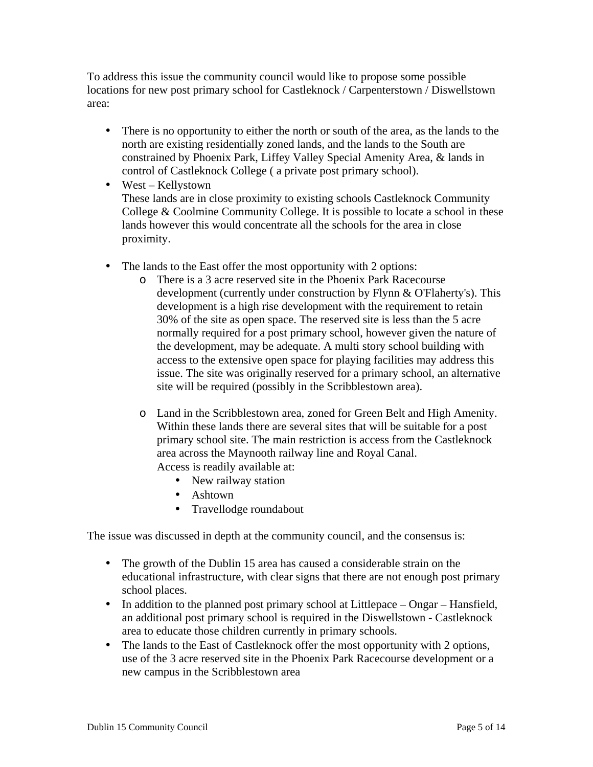To address this issue the community council would like to propose some possible locations for new post primary school for Castleknock / Carpenterstown / Diswellstown area:

- There is no opportunity to either the north or south of the area, as the lands to the north are existing residentially zoned lands, and the lands to the South are constrained by Phoenix Park, Liffey Valley Special Amenity Area, & lands in control of Castleknock College ( a private post primary school).
- West Kellystown These lands are in close proximity to existing schools Castleknock Community College & Coolmine Community College. It is possible to locate a school in these lands however this would concentrate all the schools for the area in close proximity.
- The lands to the East offer the most opportunity with 2 options:
	- o There is a 3 acre reserved site in the Phoenix Park Racecourse development (currently under construction by Flynn & O'Flaherty's). This development is a high rise development with the requirement to retain 30% of the site as open space. The reserved site is less than the 5 acre normally required for a post primary school, however given the nature of the development, may be adequate. A multi story school building with access to the extensive open space for playing facilities may address this issue. The site was originally reserved for a primary school, an alternative site will be required (possibly in the Scribblestown area).
	- o Land in the Scribblestown area, zoned for Green Belt and High Amenity. Within these lands there are several sites that will be suitable for a post primary school site. The main restriction is access from the Castleknock area across the Maynooth railway line and Royal Canal. Access is readily available at:
		- New railway station
		- Ashtown
		- Travellodge roundabout

The issue was discussed in depth at the community council, and the consensus is:

- The growth of the Dublin 15 area has caused a considerable strain on the educational infrastructure, with clear signs that there are not enough post primary school places.
- In addition to the planned post primary school at Littlepace Ongar Hansfield, an additional post primary school is required in the Diswellstown - Castleknock area to educate those children currently in primary schools.
- The lands to the East of Castleknock offer the most opportunity with 2 options, use of the 3 acre reserved site in the Phoenix Park Racecourse development or a new campus in the Scribblestown area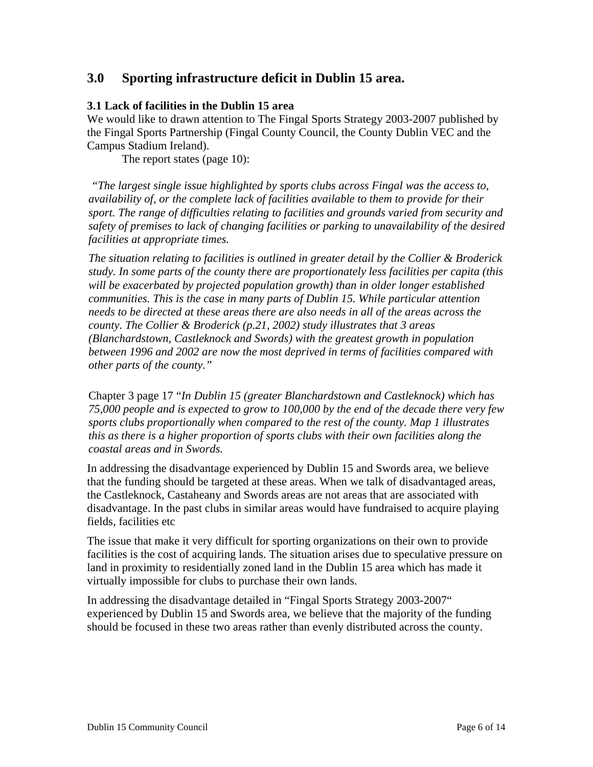# **3.0 Sporting infrastructure deficit in Dublin 15 area.**

#### **3.1 Lack of facilities in the Dublin 15 area**

We would like to drawn attention to The Fingal Sports Strategy 2003-2007 published by the Fingal Sports Partnership (Fingal County Council, the County Dublin VEC and the Campus Stadium Ireland).

The report states (page 10):

*"The largest single issue highlighted by sports clubs across Fingal was the access to, availability of, or the complete lack of facilities available to them to provide for their sport. The range of difficulties relating to facilities and grounds varied from security and safety of premises to lack of changing facilities or parking to unavailability of the desired facilities at appropriate times.* 

*The situation relating to facilities is outlined in greater detail by the Collier & Broderick study. In some parts of the county there are proportionately less facilities per capita (this will be exacerbated by projected population growth) than in older longer established communities. This is the case in many parts of Dublin 15. While particular attention needs to be directed at these areas there are also needs in all of the areas across the county. The Collier & Broderick (p.21, 2002) study illustrates that 3 areas (Blanchardstown, Castleknock and Swords) with the greatest growth in population between 1996 and 2002 are now the most deprived in terms of facilities compared with other parts of the county."*

Chapter 3 page 17 "*In Dublin 15 (greater Blanchardstown and Castleknock) which has 75,000 people and is expected to grow to 100,000 by the end of the decade there very few sports clubs proportionally when compared to the rest of the county. Map 1 illustrates this as there is a higher proportion of sports clubs with their own facilities along the coastal areas and in Swords.* 

In addressing the disadvantage experienced by Dublin 15 and Swords area, we believe that the funding should be targeted at these areas. When we talk of disadvantaged areas, the Castleknock, Castaheany and Swords areas are not areas that are associated with disadvantage. In the past clubs in similar areas would have fundraised to acquire playing fields, facilities etc

The issue that make it very difficult for sporting organizations on their own to provide facilities is the cost of acquiring lands. The situation arises due to speculative pressure on land in proximity to residentially zoned land in the Dublin 15 area which has made it virtually impossible for clubs to purchase their own lands.

In addressing the disadvantage detailed in "Fingal Sports Strategy 2003-2007" experienced by Dublin 15 and Swords area, we believe that the majority of the funding should be focused in these two areas rather than evenly distributed across the county.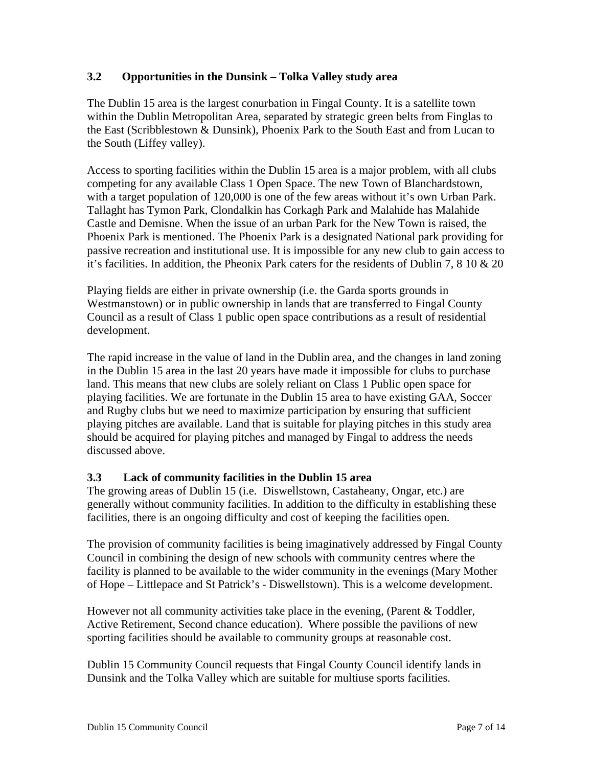# **3.2 Opportunities in the Dunsink – Tolka Valley study area**

The Dublin 15 area is the largest conurbation in Fingal County. It is a satellite town within the Dublin Metropolitan Area, separated by strategic green belts from Finglas to the East (Scribblestown & Dunsink), Phoenix Park to the South East and from Lucan to the South (Liffey valley).

Access to sporting facilities within the Dublin 15 area is a major problem, with all clubs competing for any available Class 1 Open Space. The new Town of Blanchardstown, with a target population of 120,000 is one of the few areas without it's own Urban Park. Tallaght has Tymon Park, Clondalkin has Corkagh Park and Malahide has Malahide Castle and Demisne. When the issue of an urban Park for the New Town is raised, the Phoenix Park is mentioned. The Phoenix Park is a designated National park providing for passive recreation and institutional use. It is impossible for any new club to gain access to it's facilities. In addition, the Pheonix Park caters for the residents of Dublin 7, 8 10  $\&$  20

Playing fields are either in private ownership (i.e. the Garda sports grounds in Westmanstown) or in public ownership in lands that are transferred to Fingal County Council as a result of Class 1 public open space contributions as a result of residential development.

The rapid increase in the value of land in the Dublin area, and the changes in land zoning in the Dublin 15 area in the last 20 years have made it impossible for clubs to purchase land. This means that new clubs are solely reliant on Class 1 Public open space for playing facilities. We are fortunate in the Dublin 15 area to have existing GAA, Soccer and Rugby clubs but we need to maximize participation by ensuring that sufficient playing pitches are available. Land that is suitable for playing pitches in this study area should be acquired for playing pitches and managed by Fingal to address the needs discussed above.

#### **3.3 Lack of community facilities in the Dublin 15 area**

The growing areas of Dublin 15 (i.e. Diswellstown, Castaheany, Ongar, etc.) are generally without community facilities. In addition to the difficulty in establishing these facilities, there is an ongoing difficulty and cost of keeping the facilities open.

The provision of community facilities is being imaginatively addressed by Fingal County Council in combining the design of new schools with community centres where the facility is planned to be available to the wider community in the evenings (Mary Mother of Hope – Littlepace and St Patrick's - Diswellstown). This is a welcome development.

However not all community activities take place in the evening, (Parent & Toddler, Active Retirement, Second chance education). Where possible the pavilions of new sporting facilities should be available to community groups at reasonable cost.

Dublin 15 Community Council requests that Fingal County Council identify lands in Dunsink and the Tolka Valley which are suitable for multiuse sports facilities.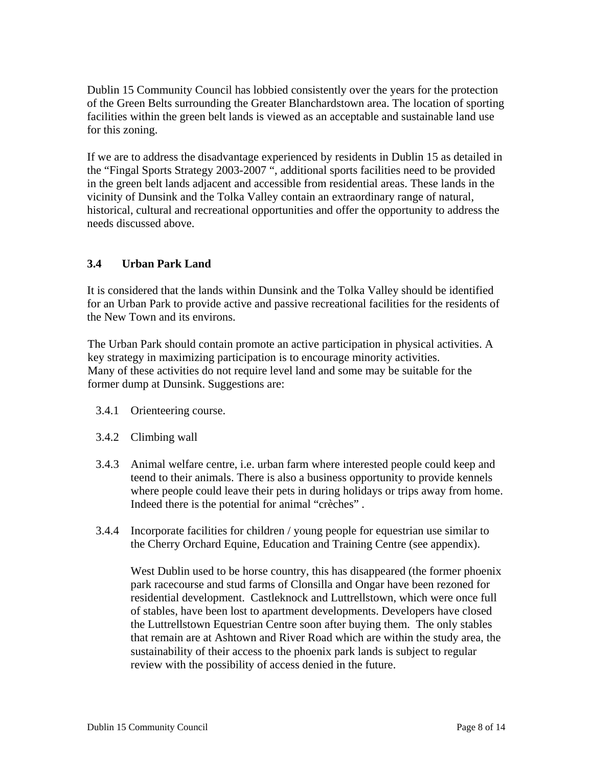Dublin 15 Community Council has lobbied consistently over the years for the protection of the Green Belts surrounding the Greater Blanchardstown area. The location of sporting facilities within the green belt lands is viewed as an acceptable and sustainable land use for this zoning.

If we are to address the disadvantage experienced by residents in Dublin 15 as detailed in the "Fingal Sports Strategy 2003-2007 ", additional sports facilities need to be provided in the green belt lands adjacent and accessible from residential areas. These lands in the vicinity of Dunsink and the Tolka Valley contain an extraordinary range of natural, historical, cultural and recreational opportunities and offer the opportunity to address the needs discussed above.

# **3.4 Urban Park Land**

It is considered that the lands within Dunsink and the Tolka Valley should be identified for an Urban Park to provide active and passive recreational facilities for the residents of the New Town and its environs.

The Urban Park should contain promote an active participation in physical activities. A key strategy in maximizing participation is to encourage minority activities. Many of these activities do not require level land and some may be suitable for the former dump at Dunsink. Suggestions are:

- 3.4.1 Orienteering course.
- 3.4.2 Climbing wall
- 3.4.3 Animal welfare centre, i.e. urban farm where interested people could keep and teend to their animals. There is also a business opportunity to provide kennels where people could leave their pets in during holidays or trips away from home. Indeed there is the potential for animal "crèches" .
- 3.4.4 Incorporate facilities for children / young people for equestrian use similar to the Cherry Orchard Equine, Education and Training Centre (see appendix).

West Dublin used to be horse country, this has disappeared (the former phoenix park racecourse and stud farms of Clonsilla and Ongar have been rezoned for residential development. Castleknock and Luttrellstown, which were once full of stables, have been lost to apartment developments. Developers have closed the Luttrellstown Equestrian Centre soon after buying them. The only stables that remain are at Ashtown and River Road which are within the study area, the sustainability of their access to the phoenix park lands is subject to regular review with the possibility of access denied in the future.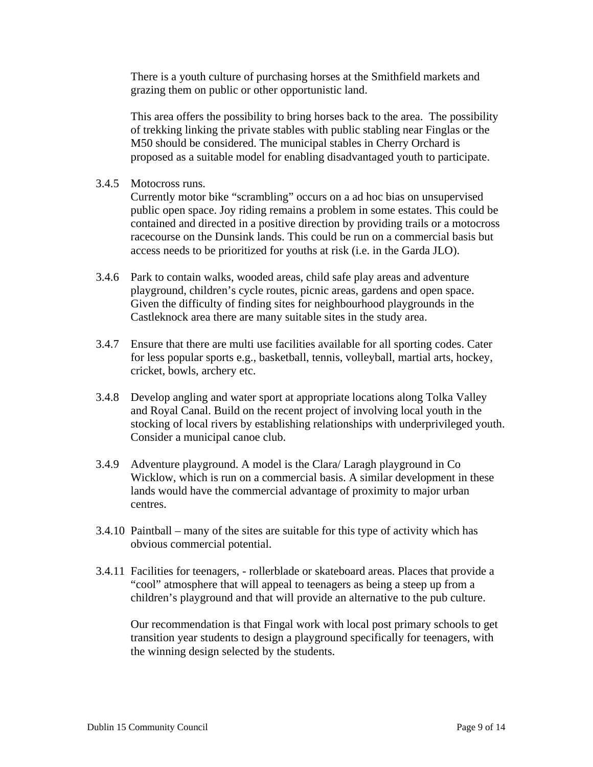There is a youth culture of purchasing horses at the Smithfield markets and grazing them on public or other opportunistic land.

This area offers the possibility to bring horses back to the area. The possibility of trekking linking the private stables with public stabling near Finglas or the M50 should be considered. The municipal stables in Cherry Orchard is proposed as a suitable model for enabling disadvantaged youth to participate.

3.4.5 Motocross runs.

Currently motor bike "scrambling" occurs on a ad hoc bias on unsupervised public open space. Joy riding remains a problem in some estates. This could be contained and directed in a positive direction by providing trails or a motocross racecourse on the Dunsink lands. This could be run on a commercial basis but access needs to be prioritized for youths at risk (i.e. in the Garda JLO).

- 3.4.6 Park to contain walks, wooded areas, child safe play areas and adventure playground, children's cycle routes, picnic areas, gardens and open space. Given the difficulty of finding sites for neighbourhood playgrounds in the Castleknock area there are many suitable sites in the study area.
- 3.4.7 Ensure that there are multi use facilities available for all sporting codes. Cater for less popular sports e.g., basketball, tennis, volleyball, martial arts, hockey, cricket, bowls, archery etc.
- 3.4.8 Develop angling and water sport at appropriate locations along Tolka Valley and Royal Canal. Build on the recent project of involving local youth in the stocking of local rivers by establishing relationships with underprivileged youth. Consider a municipal canoe club.
- 3.4.9 Adventure playground. A model is the Clara/ Laragh playground in Co Wicklow, which is run on a commercial basis. A similar development in these lands would have the commercial advantage of proximity to major urban centres.
- 3.4.10 Paintball many of the sites are suitable for this type of activity which has obvious commercial potential.
- 3.4.11 Facilities for teenagers, rollerblade or skateboard areas. Places that provide a "cool" atmosphere that will appeal to teenagers as being a steep up from a children's playground and that will provide an alternative to the pub culture.

Our recommendation is that Fingal work with local post primary schools to get transition year students to design a playground specifically for teenagers, with the winning design selected by the students.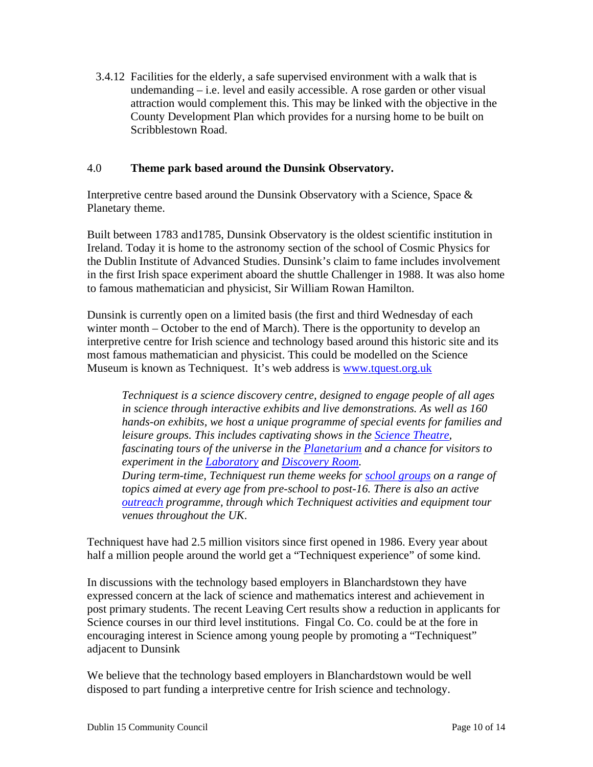3.4.12 Facilities for the elderly, a safe supervised environment with a walk that is undemanding – i.e. level and easily accessible. A rose garden or other visual attraction would complement this. This may be linked with the objective in the County Development Plan which provides for a nursing home to be built on Scribblestown Road.

#### 4.0 **Theme park based around the Dunsink Observatory.**

Interpretive centre based around the Dunsink Observatory with a Science, Space & Planetary theme.

Built between 1783 and1785, Dunsink Observatory is the oldest scientific institution in Ireland. Today it is home to the astronomy section of the school of Cosmic Physics for the Dublin Institute of Advanced Studies. Dunsink's claim to fame includes involvement in the first Irish space experiment aboard the shuttle Challenger in 1988. It was also home to famous mathematician and physicist, Sir William Rowan Hamilton.

Dunsink is currently open on a limited basis (the first and third Wednesday of each winter month – October to the end of March). There is the opportunity to develop an interpretive centre for Irish science and technology based around this historic site and its most famous mathematician and physicist. This could be modelled on the Science Museum is known as Techniquest. It's web address is www.tquest.org.uk

*Techniquest is a science discovery centre, designed to engage people of all ages in science through interactive exhibits and live demonstrations. As well as 160 hands-on exhibits, we host a unique programme of special events for families and leisure groups. This includes captivating shows in the Science Theatre, fascinating tours of the universe in the Planetarium and a chance for visitors to experiment in the Laboratory and Discovery Room. During term-time, Techniquest run theme weeks for school groups on a range of topics aimed at every age from pre-school to post-16. There is also an active outreach programme, through which Techniquest activities and equipment tour venues throughout the UK*.

Techniquest have had 2.5 million visitors since first opened in 1986. Every year about half a million people around the world get a "Techniquest experience" of some kind.

In discussions with the technology based employers in Blanchardstown they have expressed concern at the lack of science and mathematics interest and achievement in post primary students. The recent Leaving Cert results show a reduction in applicants for Science courses in our third level institutions. Fingal Co. Co. could be at the fore in encouraging interest in Science among young people by promoting a "Techniquest" adjacent to Dunsink

We believe that the technology based employers in Blanchardstown would be well disposed to part funding a interpretive centre for Irish science and technology.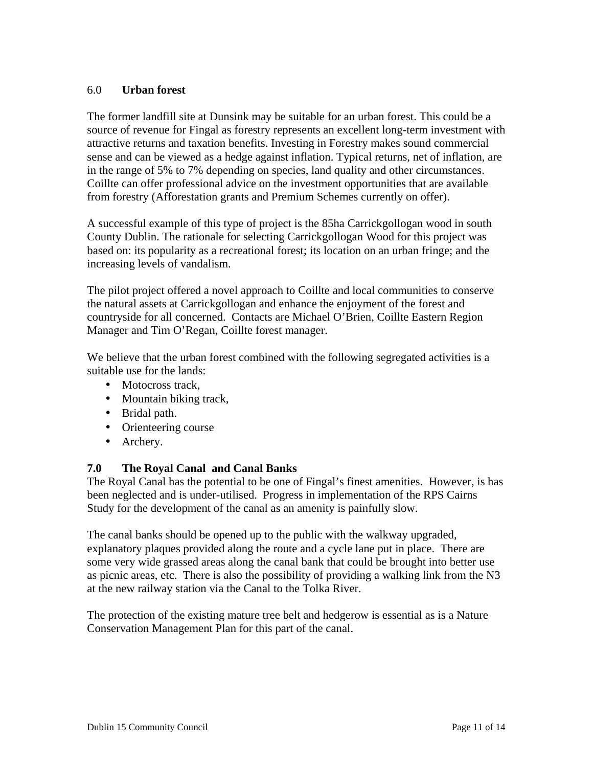## 6.0 **Urban forest**

The former landfill site at Dunsink may be suitable for an urban forest. This could be a source of revenue for Fingal as forestry represents an excellent long-term investment with attractive returns and taxation benefits. Investing in Forestry makes sound commercial sense and can be viewed as a hedge against inflation. Typical returns, net of inflation, are in the range of 5% to 7% depending on species, land quality and other circumstances. Coillte can offer professional advice on the investment opportunities that are available from forestry (Afforestation grants and Premium Schemes currently on offer).

A successful example of this type of project is the 85ha Carrickgollogan wood in south County Dublin. The rationale for selecting Carrickgollogan Wood for this project was based on: its popularity as a recreational forest; its location on an urban fringe; and the increasing levels of vandalism.

The pilot project offered a novel approach to Coillte and local communities to conserve the natural assets at Carrickgollogan and enhance the enjoyment of the forest and countryside for all concerned. Contacts are Michael O'Brien, Coillte Eastern Region Manager and Tim O'Regan, Coillte forest manager.

We believe that the urban forest combined with the following segregated activities is a suitable use for the lands:

- Motocross track,
- Mountain biking track,
- Bridal path.
- Orienteering course
- Archery.

# **7.0 The Royal Canal and Canal Banks**

The Royal Canal has the potential to be one of Fingal's finest amenities. However, is has been neglected and is under-utilised. Progress in implementation of the RPS Cairns Study for the development of the canal as an amenity is painfully slow.

The canal banks should be opened up to the public with the walkway upgraded, explanatory plaques provided along the route and a cycle lane put in place. There are some very wide grassed areas along the canal bank that could be brought into better use as picnic areas, etc. There is also the possibility of providing a walking link from the N3 at the new railway station via the Canal to the Tolka River.

The protection of the existing mature tree belt and hedgerow is essential as is a Nature Conservation Management Plan for this part of the canal.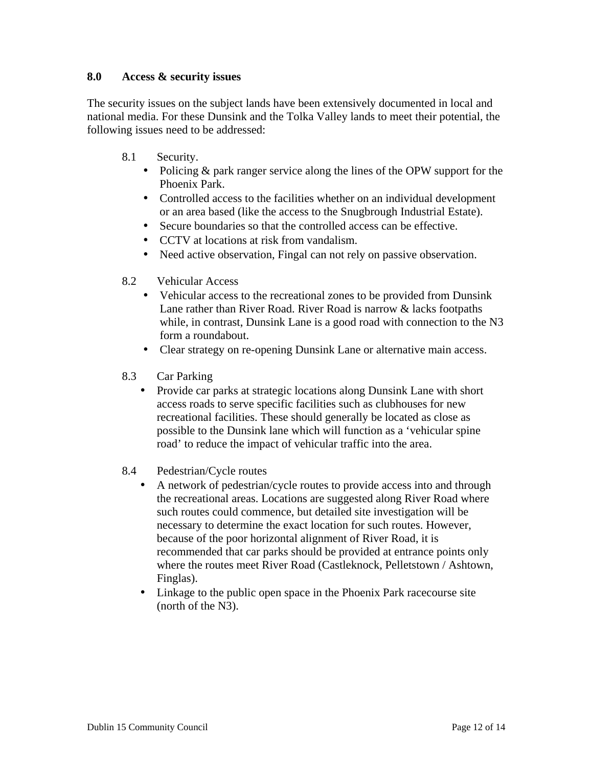## **8.0 Access & security issues**

The security issues on the subject lands have been extensively documented in local and national media. For these Dunsink and the Tolka Valley lands to meet their potential, the following issues need to be addressed:

- 8.1 Security.
	- Policing & park ranger service along the lines of the OPW support for the Phoenix Park.
	- Controlled access to the facilities whether on an individual development or an area based (like the access to the Snugbrough Industrial Estate).
	- Secure boundaries so that the controlled access can be effective.
	- CCTV at locations at risk from vandalism.
	- Need active observation, Fingal can not rely on passive observation.
- 8.2 Vehicular Access
	- Vehicular access to the recreational zones to be provided from Dunsink Lane rather than River Road. River Road is narrow & lacks footpaths while, in contrast, Dunsink Lane is a good road with connection to the N3 form a roundabout.
	- Clear strategy on re-opening Dunsink Lane or alternative main access.
- 8.3 Car Parking
	- Provide car parks at strategic locations along Dunsink Lane with short access roads to serve specific facilities such as clubhouses for new recreational facilities. These should generally be located as close as possible to the Dunsink lane which will function as a 'vehicular spine road' to reduce the impact of vehicular traffic into the area.
- 8.4 Pedestrian/Cycle routes
	- A network of pedestrian/cycle routes to provide access into and through the recreational areas. Locations are suggested along River Road where such routes could commence, but detailed site investigation will be necessary to determine the exact location for such routes. However, because of the poor horizontal alignment of River Road, it is recommended that car parks should be provided at entrance points only where the routes meet River Road (Castleknock, Pelletstown / Ashtown, Finglas).
	- Linkage to the public open space in the Phoenix Park racecourse site (north of the N3).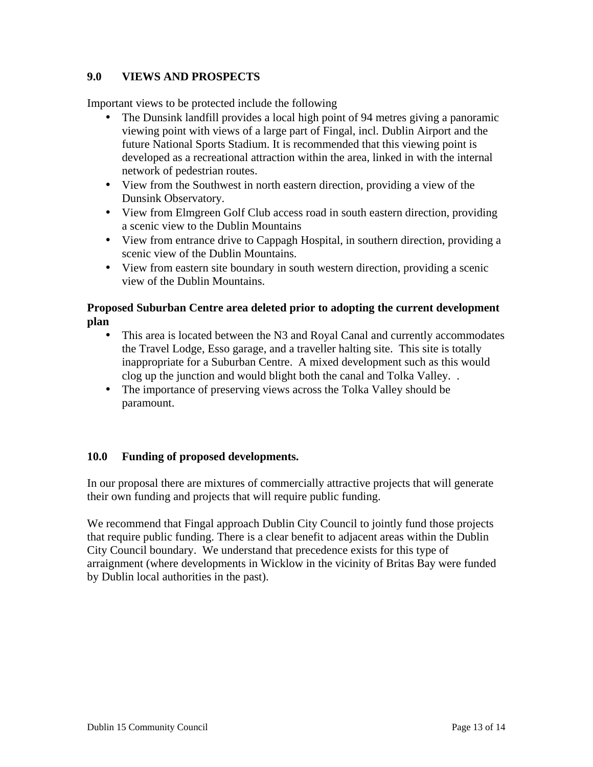# **9.0 VIEWS AND PROSPECTS**

Important views to be protected include the following

- The Dunsink landfill provides a local high point of 94 metres giving a panoramic viewing point with views of a large part of Fingal, incl. Dublin Airport and the future National Sports Stadium. It is recommended that this viewing point is developed as a recreational attraction within the area, linked in with the internal network of pedestrian routes.
- View from the Southwest in north eastern direction, providing a view of the Dunsink Observatory.
- View from Elmgreen Golf Club access road in south eastern direction, providing a scenic view to the Dublin Mountains
- View from entrance drive to Cappagh Hospital, in southern direction, providing a scenic view of the Dublin Mountains.
- View from eastern site boundary in south western direction, providing a scenic view of the Dublin Mountains.

# **Proposed Suburban Centre area deleted prior to adopting the current development plan**

- This area is located between the N3 and Royal Canal and currently accommodates the Travel Lodge, Esso garage, and a traveller halting site. This site is totally inappropriate for a Suburban Centre. A mixed development such as this would clog up the junction and would blight both the canal and Tolka Valley. .
- The importance of preserving views across the Tolka Valley should be paramount.

# **10.0 Funding of proposed developments.**

In our proposal there are mixtures of commercially attractive projects that will generate their own funding and projects that will require public funding.

We recommend that Fingal approach Dublin City Council to jointly fund those projects that require public funding. There is a clear benefit to adjacent areas within the Dublin City Council boundary. We understand that precedence exists for this type of arraignment (where developments in Wicklow in the vicinity of Britas Bay were funded by Dublin local authorities in the past).